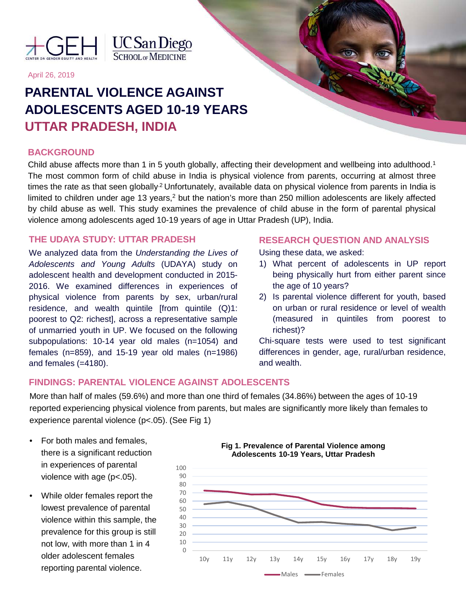



April 26, 2019

# **PARENTAL VIOLENCE AGAINST ADOLESCENTS AGED 10-19 YEARS UTTAR PRADESH, INDIA**

# **BACKGROUND**

Child abuse affects more than 1 in 5 youth globally, affecting their development and wellbeing into adulthood.<sup>1</sup> The most common form of child abuse in India is physical violence from parents, occurring at almost three times the rate as that seen globally<sup>2</sup> Unfortunately, available data on physical violence from parents in India is limited to children under age 13 years, $<sup>2</sup>$  but the nation's more than 250 million adolescents are likely affected</sup> by child abuse as well. This study examines the prevalence of child abuse in the form of parental physical violence among adolescents aged 10-19 years of age in Uttar Pradesh (UP), India.

# **THE UDAYA STUDY: UTTAR PRADESH**

We analyzed data from the *Understanding the Lives of Adolescents and Young Adults* (UDAYA) study on adolescent health and development conducted in 2015- 2016. We examined differences in experiences of physical violence from parents by sex, urban/rural residence, and wealth quintile [from quintile  $(Q)1$ : poorest to Q2: richest], across a representative sample of unmarried youth in UP. We focused on the following subpopulations: 10-14 year old males (n=1054) and females (n=859), and 15-19 year old males (n=1986) and females (=4180).

## **RESEARCH QUESTION AND ANALYSIS**

Using these data, we asked:

- 1) What percent of adolescents in UP report being physically hurt from either parent since the age of 10 years?
- 2) Is parental violence different for youth, based on urban or rural residence or level of wealth (measured in quintiles from poorest to richest)?

Chi-square tests were used to test significant differences in gender, age, rural/urban residence, and wealth.

# **FINDINGS: PARENTAL VIOLENCE AGAINST ADOLESCENTS**

More than half of males (59.6%) and more than one third of females (34.86%) between the ages of 10-19 reported experiencing physical violence from parents, but males are significantly more likely than females to experience parental violence (p<.05). (See Fig 1)

- For both males and females, there is a significant reduction in experiences of parental violence with age (p<.05).
- While older females report the lowest prevalence of parental violence within this sample, the prevalence for this group is still not low, with more than 1 in 4 older adolescent females reporting parental violence.